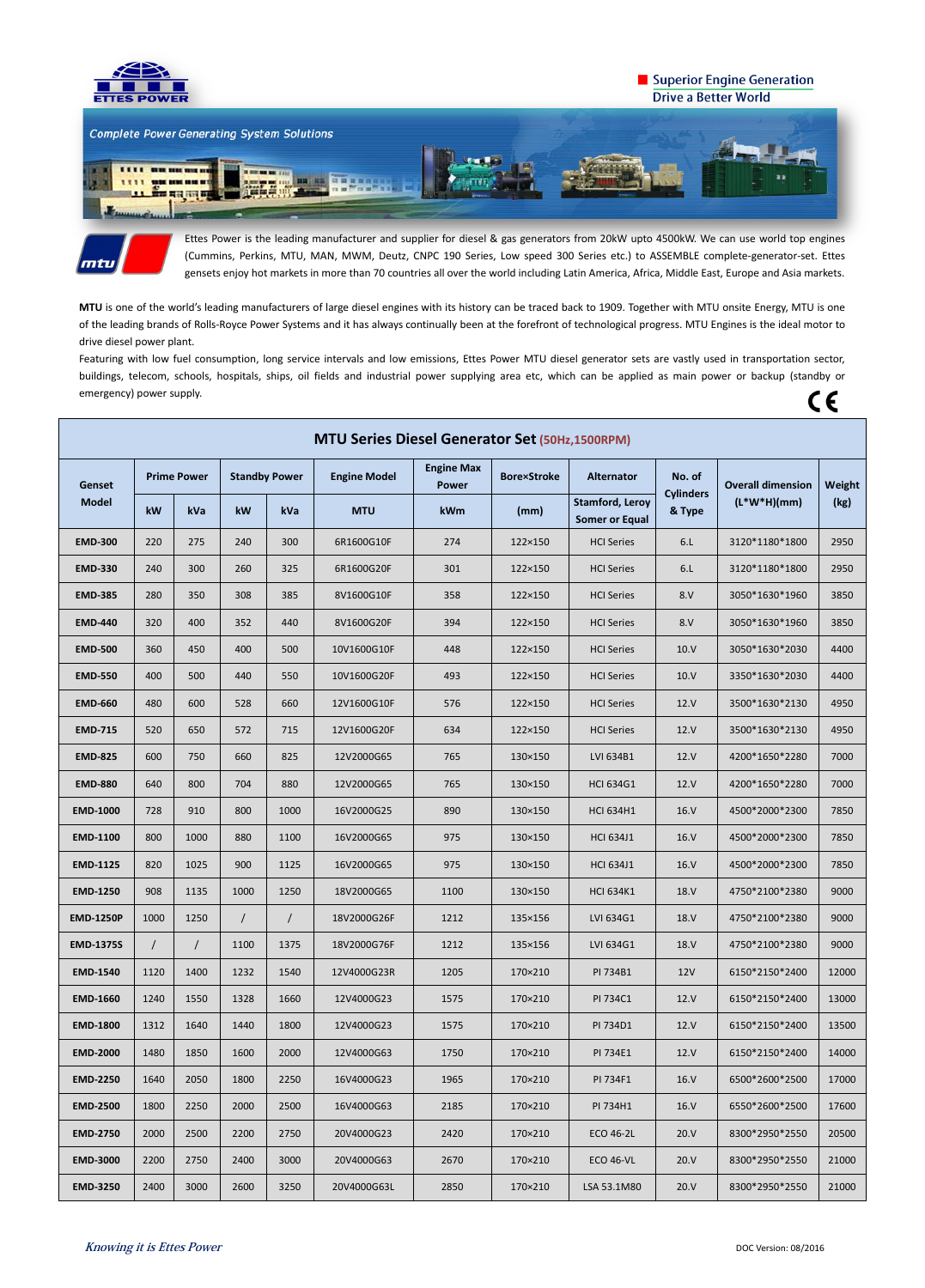

## Superior Engine Generation **Drive a Better World**





Ettes Power is the leading manufacturer and supplier for diesel & gas generators from 20kW upto 4500kW. We can use world top engines (Cummins, Perkins, MTU, MAN, MWM, Deutz, CNPC 190 Series, Low speed 300 Series etc.) to ASSEMBLE complete-generator-set. Ettes gensets enjoy hot markets in more than 70 countries all over the world including Latin America, Africa, Middle East, Europe and Asia markets.

Featuring with low fuel consumption, long service intervals and low emissions, Ettes Power MTU diesel generator sets are vastly used in transportation sector, buildings, telecom, schools, hospitals, ships, oil fields and industrial power supplying area etc, which can be applied as main power or backup (standby or emergency) power supply.  $C \in$ 

**MTU** is one of the world's leading manufacturers of large diesel engines with its history can be traced back to 1909. Together with MTU onsite Energy, MTU is one of the leading brands of Rolls-Royce Power Systems and it has always continually been at the forefront of technological progress. MTU Engines is the ideal motor to drive diesel power plant.

| <b>MTU Series Diesel Generator Set (50Hz,1500RPM)</b> |                    |          |                      |            |                     |                                   |                    |                                                 |                            |                          |        |
|-------------------------------------------------------|--------------------|----------|----------------------|------------|---------------------|-----------------------------------|--------------------|-------------------------------------------------|----------------------------|--------------------------|--------|
| <b>Genset</b><br><b>Model</b>                         | <b>Prime Power</b> |          | <b>Standby Power</b> |            | <b>Engine Model</b> | <b>Engine Max</b><br><b>Power</b> | <b>Bore×Stroke</b> | <b>Alternator</b>                               | No. of                     | <b>Overall dimension</b> | Weight |
|                                                       | kW                 | kVa      | kW                   | kVa        | <b>MTU</b>          | kWm                               | (mm)               | <b>Stamford, Leroy</b><br><b>Somer or Equal</b> | <b>Cylinders</b><br>& Type | $(L*W*H)(mm)$            | (kg)   |
| <b>EMD-300</b>                                        | 220                | 275      | 240                  | 300        | 6R1600G10F          | 274                               | 122×150            | <b>HCI Series</b>                               | 6.L                        | 3120*1180*1800           | 2950   |
| <b>EMD-330</b>                                        | 240                | 300      | 260                  | 325        | 6R1600G20F          | 301                               | 122×150            | <b>HCI Series</b>                               | 6.L                        | 3120*1180*1800           | 2950   |
| <b>EMD-385</b>                                        | 280                | 350      | 308                  | 385        | 8V1600G10F          | 358                               | 122×150            | <b>HCI Series</b>                               | 8.V                        | 3050*1630*1960           | 3850   |
| <b>EMD-440</b>                                        | 320                | 400      | 352                  | 440        | 8V1600G20F          | 394                               | 122×150            | <b>HCI Series</b>                               | 8.V                        | 3050*1630*1960           | 3850   |
| <b>EMD-500</b>                                        | 360                | 450      | 400                  | 500        | 10V1600G10F         | 448                               | 122×150            | <b>HCI Series</b>                               | 10.V                       | 3050*1630*2030           | 4400   |
| <b>EMD-550</b>                                        | 400                | 500      | 440                  | 550        | 10V1600G20F         | 493                               | 122×150            | <b>HCI Series</b>                               | 10.V                       | 3350*1630*2030           | 4400   |
| <b>EMD-660</b>                                        | 480                | 600      | 528                  | 660        | 12V1600G10F         | 576                               | 122×150            | <b>HCI Series</b>                               | 12. V                      | 3500*1630*2130           | 4950   |
| <b>EMD-715</b>                                        | 520                | 650      | 572                  | 715        | 12V1600G20F         | 634                               | 122×150            | <b>HCI Series</b>                               | 12. V                      | 3500*1630*2130           | 4950   |
| <b>EMD-825</b>                                        | 600                | 750      | 660                  | 825        | 12V2000G65          | 765                               | 130×150            | LVI 634B1                                       | 12.V                       | 4200*1650*2280           | 7000   |
| <b>EMD-880</b>                                        | 640                | 800      | 704                  | 880        | 12V2000G65          | 765                               | 130×150            | <b>HCI 634G1</b>                                | 12.V                       | 4200*1650*2280           | 7000   |
| <b>EMD-1000</b>                                       | 728                | 910      | 800                  | 1000       | 16V2000G25          | 890                               | 130×150            | <b>HCI 634H1</b>                                | 16. V                      | 4500*2000*2300           | 7850   |
| <b>EMD-1100</b>                                       | 800                | 1000     | 880                  | 1100       | 16V2000G65          | 975                               | 130×150            | <b>HCI 634J1</b>                                | 16. V                      | 4500*2000*2300           | 7850   |
| <b>EMD-1125</b>                                       | 820                | 1025     | 900                  | 1125       | 16V2000G65          | 975                               | 130×150            | <b>HCI 634J1</b>                                | 16. V                      | 4500*2000*2300           | 7850   |
| <b>EMD-1250</b>                                       | 908                | 1135     | 1000                 | 1250       | 18V2000G65          | 1100                              | 130×150            | <b>HCI 634K1</b>                                | 18.V                       | 4750*2100*2380           | 9000   |
| <b>EMD-1250P</b>                                      | 1000               | 1250     | $\sqrt{2}$           | $\sqrt{2}$ | 18V2000G26F         | 1212                              | 135×156            | LVI 634G1                                       | 18.V                       | 4750*2100*2380           | 9000   |
| <b>EMD-1375S</b>                                      | $\prime$           | $\prime$ | 1100                 | 1375       | 18V2000G76F         | 1212                              | 135×156            | LVI 634G1                                       | 18.V                       | 4750*2100*2380           | 9000   |
| <b>EMD-1540</b>                                       | 1120               | 1400     | 1232                 | 1540       | 12V4000G23R         | 1205                              | 170×210            | PI 734B1                                        | 12V                        | 6150*2150*2400           | 12000  |
| <b>EMD-1660</b>                                       | 1240               | 1550     | 1328                 | 1660       | 12V4000G23          | 1575                              | 170×210            | PI 734C1                                        | 12.V                       | 6150*2150*2400           | 13000  |
| <b>EMD-1800</b>                                       | 1312               | 1640     | 1440                 | 1800       | 12V4000G23          | 1575                              | 170×210            | PI 734D1                                        | 12.V                       | 6150*2150*2400           | 13500  |
| <b>EMD-2000</b>                                       | 1480               | 1850     | 1600                 | 2000       | 12V4000G63          | 1750                              | 170×210            | PI 734E1                                        | 12.V                       | 6150*2150*2400           | 14000  |
| <b>EMD-2250</b>                                       | 1640               | 2050     | 1800                 | 2250       | 16V4000G23          | 1965                              | 170×210            | PI 734F1                                        | 16. V                      | 6500*2600*2500           | 17000  |
| <b>EMD-2500</b>                                       | 1800               | 2250     | 2000                 | 2500       | 16V4000G63          | 2185                              | 170×210            | PI 734H1                                        | 16. V                      | 6550*2600*2500           | 17600  |
| <b>EMD-2750</b>                                       | 2000               | 2500     | 2200                 | 2750       | 20V4000G23          | 2420                              | 170×210            | <b>ECO 46-2L</b>                                | 20.V                       | 8300*2950*2550           | 20500  |
| <b>EMD-3000</b>                                       | 2200               | 2750     | 2400                 | 3000       | 20V4000G63          | 2670                              | 170×210            | <b>ECO 46-VL</b>                                | 20. V                      | 8300*2950*2550           | 21000  |
| <b>EMD-3250</b>                                       | 2400               | 3000     | 2600                 | 3250       | 20V4000G63L         | 2850                              | 170×210            | LSA 53.1M80                                     | 20. V                      | 8300*2950*2550           | 21000  |